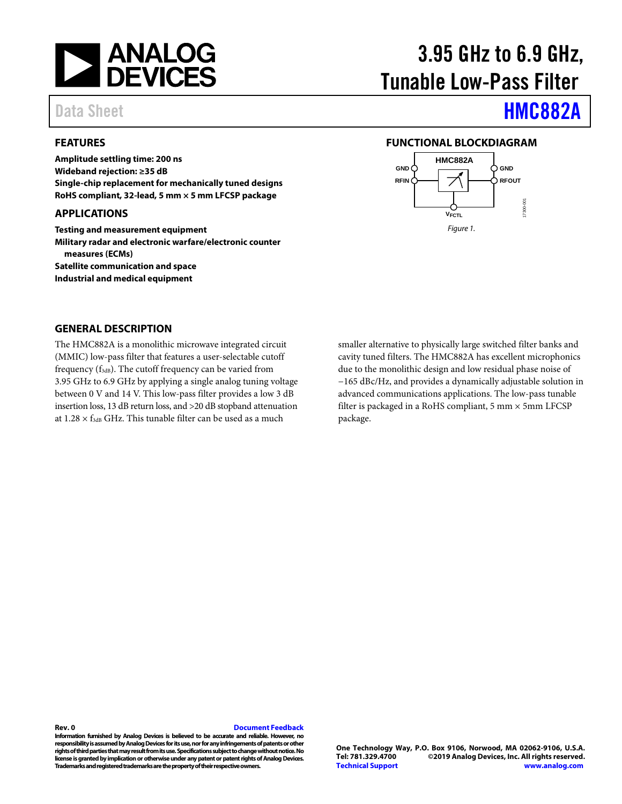

### <span id="page-0-0"></span>**FEATURES**

**Amplitude settling time: 200 ns Wideband rejection: ≥35 dB Single-chip replacement for mechanically tuned designs RoHS compliant, 32-lead, 5 mm × 5 mm LFCSP package**

#### <span id="page-0-1"></span>**APPLICATIONS**

**Testing and measurement equipment Military radar and electronic warfare/electronic counter measures (ECMs) Satellite communication and space Industrial and medical equipment**

# 3.95 GHz to 6.9 GHz, Tunable Low-Pass Filter

## Data Sheet **[HMC882A](https://www.analog.com/HMC882A?doc=HMC882A.pdf)**

#### <span id="page-0-2"></span>**FUNCTIONAL BLOCKDIAGRAM**



#### <span id="page-0-3"></span>**GENERAL DESCRIPTION**

The HMC882A is a monolithic microwave integrated circuit (MMIC) low-pass filter that features a user-selectable cutoff frequency (f<sub>3dB</sub>). The cutoff frequency can be varied from 3.95 GHz to 6.9 GHz by applying a single analog tuning voltage between 0 V and 14 V. This low-pass filter provides a low 3 dB insertion loss, 13 dB return loss, and >20 dB stopband attenuation at  $1.28 \times f_{3dB}$  GHz. This tunable filter can be used as a much

smaller alternative to physically large switched filter banks and cavity tuned filters. The HMC882A has excellent microphonics due to the monolithic design and low residual phase noise of −165 dBc/Hz, and provides a dynamically adjustable solution in advanced communications applications. The low-pass tunable filter is packaged in a RoHS compliant, 5 mm × 5mm LFCSP package.

#### **Rev. 0 [Document Feedback](https://form.analog.com/Form_Pages/feedback/documentfeedback.aspx?doc=HMC882A.pdf&product=HMC882A&rev=0)**

**Information furnished by Analog Devices is believed to be accurate and reliable. However, no responsibility is assumed by Analog Devices for its use, nor for any infringements of patents or other rights of third parties that may result from its use. Specifications subject to change without notice. No license is granted by implication or otherwise under any patent or patent rights of Analog Devices. Trademarks and registered trademarks are the property of their respective owners.**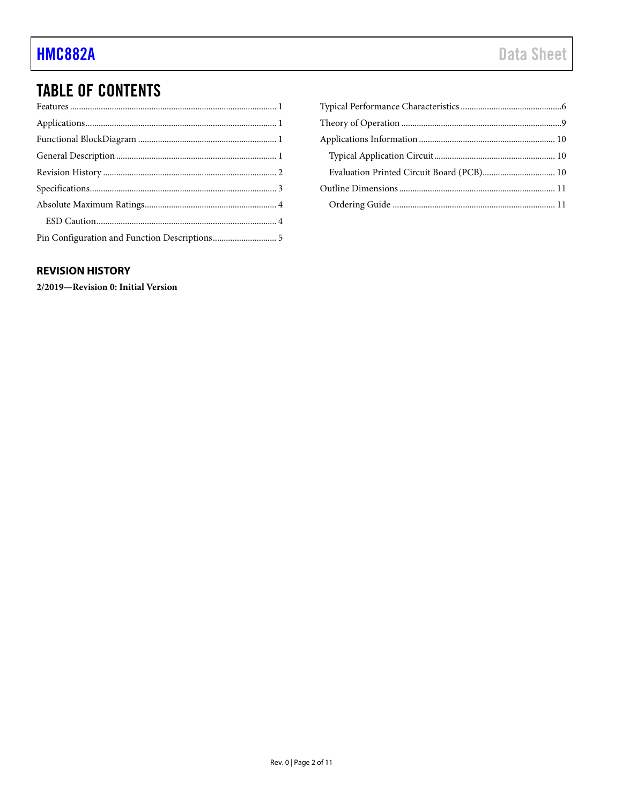## **TABLE OF CONTENTS**

| Evaluation Printed Circuit Board (PCB) 10 |  |
|-------------------------------------------|--|
|                                           |  |
|                                           |  |

### <span id="page-1-0"></span>**REVISION HISTORY**

2/2019-Revision 0: Initial Version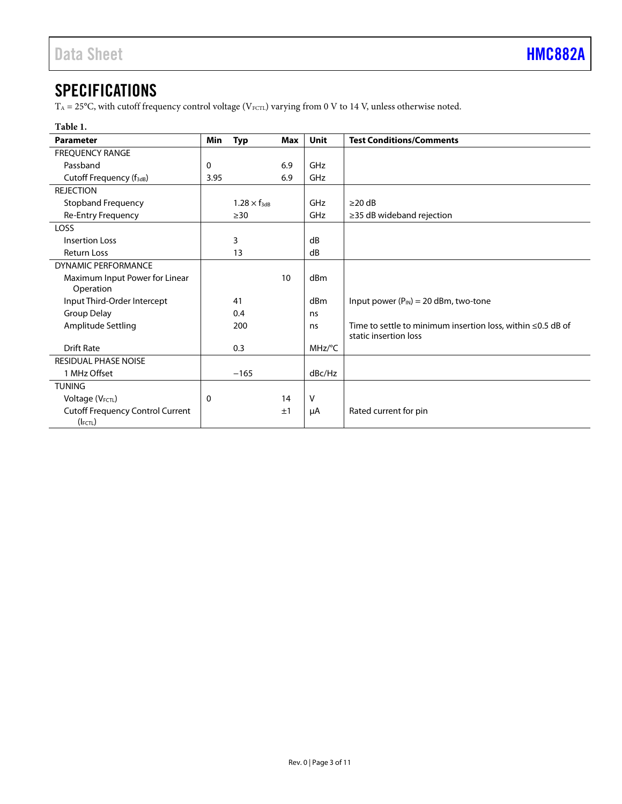## <span id="page-2-0"></span>**SPECIFICATIONS**

 $\rm T_A$  = 25°C, with cutoff frequency control voltage (V $_{\rm FCTL}$ ) varying from 0 V to 14 V, unless otherwise noted.

### **Table 1.**

| <b>Parameter</b>                        | Min  | <b>Typ</b>            | Max | Unit   | <b>Test Conditions/Comments</b>                                   |
|-----------------------------------------|------|-----------------------|-----|--------|-------------------------------------------------------------------|
| <b>FREQUENCY RANGE</b>                  |      |                       |     |        |                                                                   |
| Passband                                | 0    |                       | 6.9 | GHz    |                                                                   |
| Cutoff Frequency (f <sub>3dB</sub> )    | 3.95 |                       | 6.9 | GHz    |                                                                   |
| <b>REJECTION</b>                        |      |                       |     |        |                                                                   |
| <b>Stopband Frequency</b>               |      | $1.28 \times f_{3dB}$ |     | GHz    | $\geq$ 20 dB                                                      |
| <b>Re-Entry Frequency</b>               |      | $\geq$ 30             |     | GHz    | $\geq$ 35 dB wideband rejection                                   |
| LOSS                                    |      |                       |     |        |                                                                   |
| Insertion Loss                          |      | 3                     |     | dB     |                                                                   |
| <b>Return Loss</b>                      |      | 13                    |     | dB     |                                                                   |
| <b>DYNAMIC PERFORMANCE</b>              |      |                       |     |        |                                                                   |
| Maximum Input Power for Linear          |      |                       | 10  | dBm    |                                                                   |
| Operation                               |      |                       |     |        |                                                                   |
| Input Third-Order Intercept             |      | 41                    |     | dBm    | Input power $(P_{IN}) = 20$ dBm, two-tone                         |
| Group Delay                             |      | 0.4                   |     | ns     |                                                                   |
| Amplitude Settling                      |      | 200                   |     | ns     | Time to settle to minimum insertion loss, within $\leq$ 0.5 dB of |
|                                         |      |                       |     |        | static insertion loss                                             |
| <b>Drift Rate</b>                       |      | 0.3                   |     | MHz/°C |                                                                   |
| <b>RESIDUAL PHASE NOISE</b>             |      |                       |     |        |                                                                   |
| 1 MHz Offset                            |      | $-165$                |     | dBc/Hz |                                                                   |
| <b>TUNING</b>                           |      |                       |     |        |                                                                   |
| Voltage (VFCTL)                         | 0    |                       | 14  | V      |                                                                   |
| <b>Cutoff Frequency Control Current</b> |      |                       | ±1  | μA     | Rated current for pin                                             |
| $(I$ FCTL)                              |      |                       |     |        |                                                                   |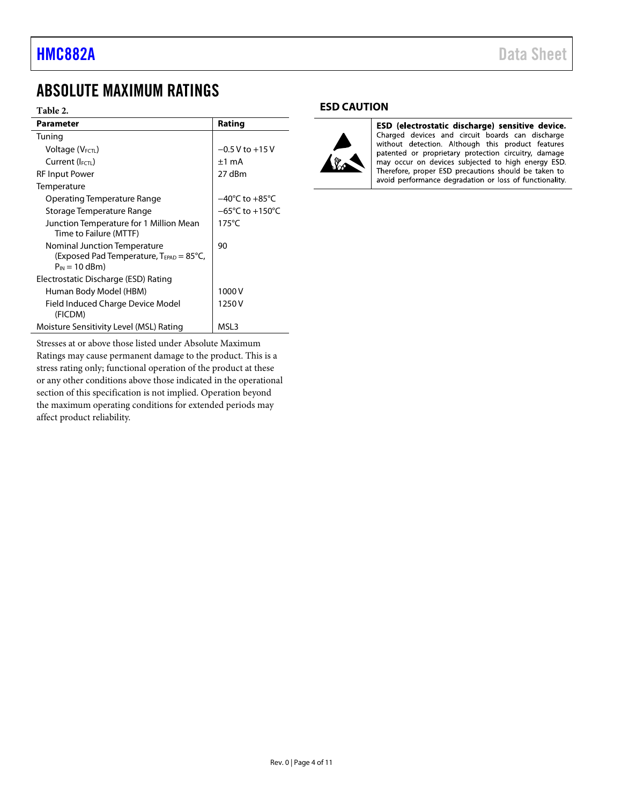## <span id="page-3-0"></span>ABSOLUTE MAXIMUM RATINGS

#### **Table 2.**

| <b>Parameter</b>                                                                                                  | Rating                              |
|-------------------------------------------------------------------------------------------------------------------|-------------------------------------|
| Tuning                                                                                                            |                                     |
| Voltage (VFCTL)                                                                                                   | $-0.5$ V to $+15$ V                 |
| Current (IFCTL)                                                                                                   | $±1$ mA                             |
| <b>RF Input Power</b>                                                                                             | 27 dBm                              |
| Temperature                                                                                                       |                                     |
| Operating Temperature Range                                                                                       | $-40^{\circ}$ C to $+85^{\circ}$ C  |
| Storage Temperature Range                                                                                         | $-65^{\circ}$ C to $+150^{\circ}$ C |
| Junction Temperature for 1 Million Mean<br>Time to Failure (MTTF)                                                 | $175^{\circ}$ C                     |
| Nominal Junction Temperature<br>(Exposed Pad Temperature, $T_{\text{FPAD}} = 85^{\circ}C$ ,<br>$P_{IN} = 10$ dBm) | 90                                  |
| Electrostatic Discharge (ESD) Rating                                                                              |                                     |
| Human Body Model (HBM)                                                                                            | 1000V                               |
| Field Induced Charge Device Model<br>(FICDM)                                                                      | 1250 V                              |
| Moisture Sensitivity Level (MSL) Rating                                                                           | MSL3                                |

Stresses at or above those listed under Absolute Maximum Ratings may cause permanent damage to the product. This is a stress rating only; functional operation of the product at these or any other conditions above those indicated in the operational section of this specification is not implied. Operation beyond the maximum operating conditions for extended periods may affect product reliability.

#### <span id="page-3-1"></span>**ESD CAUTION**



ESD (electrostatic discharge) sensitive device. Charged devices and circuit boards can discharge without detection. Although this product features patented or proprietary protection circuitry, damage<br>may occur on devices subjected to high energy ESD. Therefore, proper ESD precautions should be taken to avoid performance degradation or loss of functionality.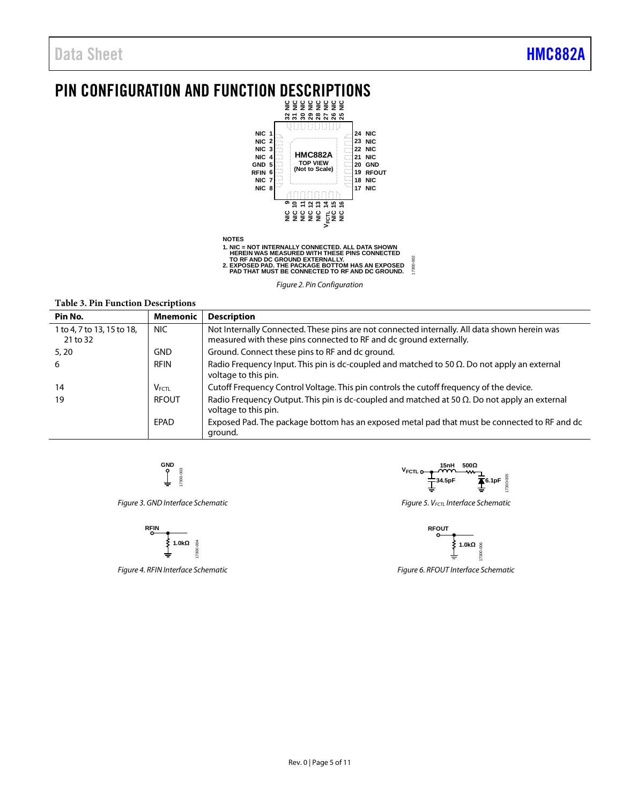## <span id="page-4-0"></span>PIN CONFIGURATION AND FUNCTION DESCRIPTIONS



17300-002 17300-002 **2. EXPOSED PAD. THE PACKAGE BOTTOM HAS AN EXPOSED PAD THAT MUST BE CONNECTED TO RF AND DC GROUND.**

**Table 3. Pin Function Descriptions**

| Pin No.                                | <b>Mnemonic</b> | <b>Description</b>                                                                                                                                                 |
|----------------------------------------|-----------------|--------------------------------------------------------------------------------------------------------------------------------------------------------------------|
| 1 to 4, 7 to 13, 15 to 18,<br>21 to 32 | NIC.            | Not Internally Connected. These pins are not connected internally. All data shown herein was<br>measured with these pins connected to RF and dc ground externally. |
| 5, 20                                  | <b>GND</b>      | Ground. Connect these pins to RF and dc ground.                                                                                                                    |
| 6                                      | <b>RFIN</b>     | Radio Frequency Input. This pin is dc-coupled and matched to 50 $\Omega$ . Do not apply an external<br>voltage to this pin.                                        |
| 14                                     | $V_{FCTL}$      | Cutoff Frequency Control Voltage. This pin controls the cutoff frequency of the device.                                                                            |
| 19                                     | <b>RFOUT</b>    | Radio Frequency Output. This pin is dc-coupled and matched at 50 $\Omega$ . Do not apply an external<br>voltage to this pin.                                       |
|                                        | EPAD            | Exposed Pad. The package bottom has an exposed metal pad that must be connected to RF and dc<br>ground.                                                            |

$$
\underbrace{\begin{array}{c} \text{GND} \\ \text{O} \\ \text{I} \end{array}}_{\text{F300-000}}
$$

*Figure 3. GND Interface Schematic*



*Figure 4. RFIN Interface Schematic*

**15nH 500Ω VFCTL 34.5pF 6.1pF** 300-005 17300-005 I

*Figure 5. VFCTL Interface Schematic*



*Figure 6. RFOUT Interface Schematic* 

*Figure 2. Pin Configuration*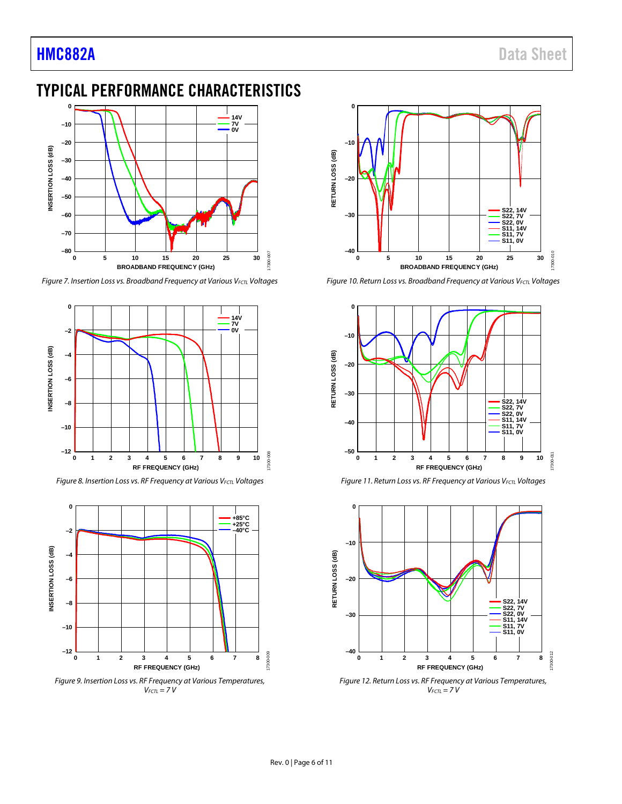## <span id="page-5-0"></span>TYPICAL PERFORMANCE CHARACTERISTICS



*Figure 7. Insertion Loss vs. Broadband Frequency at Various VFCTL Voltages*



*Figure 8. Insertion Loss vs. RF Frequency at Various VFCTL Voltages*



*Figure 9. Insertion Loss vs. RF Frequency at Various Temperatures, VFCTL = 7 V*



*Figure 10. Return Loss vs. Broadband Frequency at Various VFCTL Voltages*



*Figure 11. Return Loss vs. RF Frequency at Various VFCTL Voltages*



*Figure 12. Return Loss vs. RF Frequency at Various Temperatures, VFCTL = 7 V*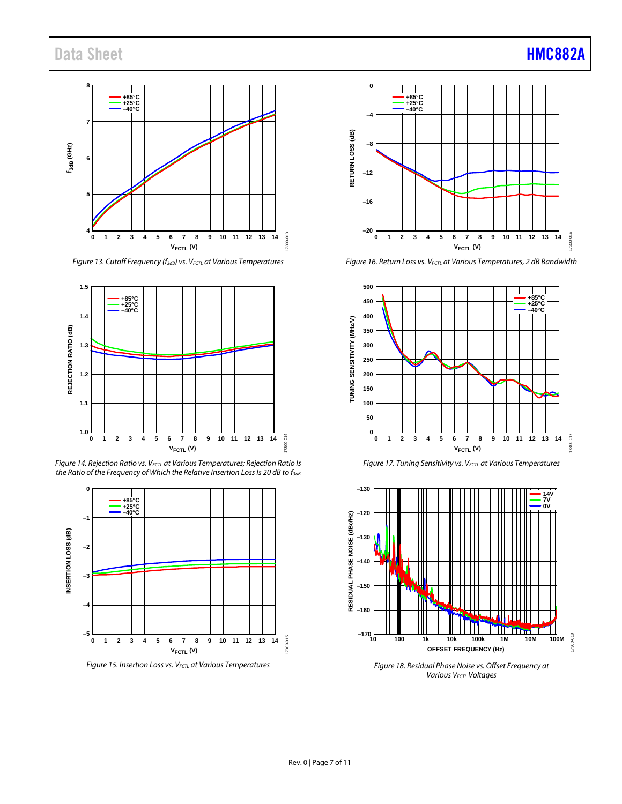## Data Sheet **[HMC882A](https://www.analog.com/HMC882A?doc=HMC882A.pdf)**



*Figure 13. Cutoff Frequency (f3dB) vs. VFCTL at Various Temperatures*



**Figure 14. Rejection Ratio vs. V<sub>FCTL</sub> at Various Temperatures; Rejection Ratio Is** the Ratio of the Frequency of Which the Relative Insertion Loss Is 20 dB to f<sub>3dB</sub>



*Figure 15. Insertion Loss vs. VFCTL at Various Temperatures*



*Figure 16. Return Loss vs. VFCTL at Various Temperatures, 2 dB Bandwidth*







*Figure 18. Residual Phase Noise vs. Offset Frequency at Various VFCTL Voltages*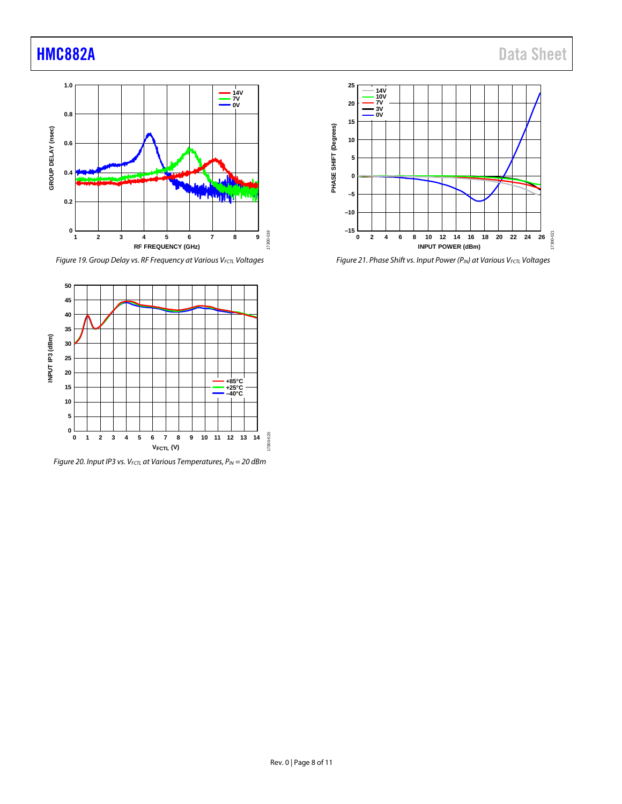

*Figure 19. Group Delay vs. RF Frequency at Various V<sub>FCTL</sub> Voltages* 



*Figure 20. Input IP3 vs. VFCTL at Various Temperatures, PIN = 20 dBm*



*Figure 21. Phase Shift vs. Input Power (PIN) at Various VFCTL Voltages*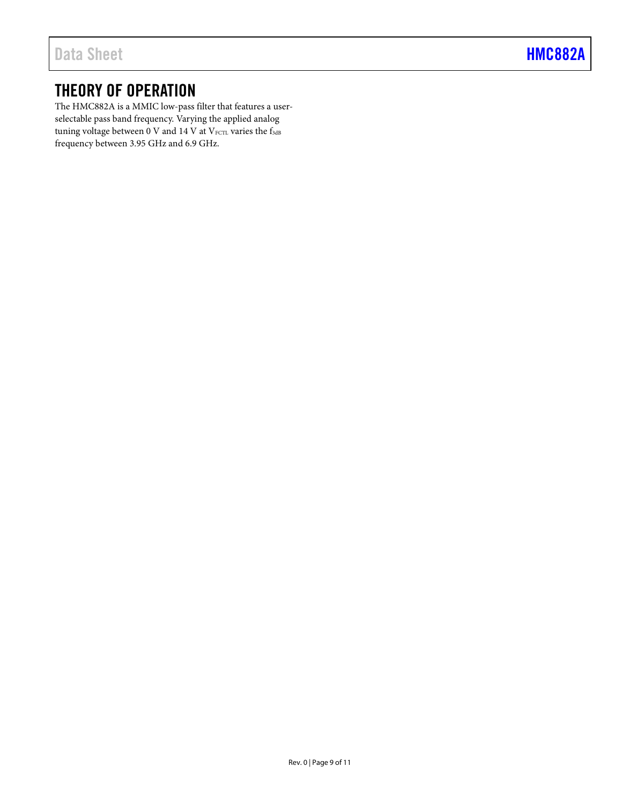## <span id="page-8-0"></span>THEORY OF OPERATION

The HMC882A is a MMIC low-pass filter that features a userselectable pass band frequency. Varying the applied analog tuning voltage between  $0$  V and  $14$  V at V<sub>FCTL</sub> varies the f<sub>3dB</sub> frequency between 3.95 GHz and 6.9 GHz.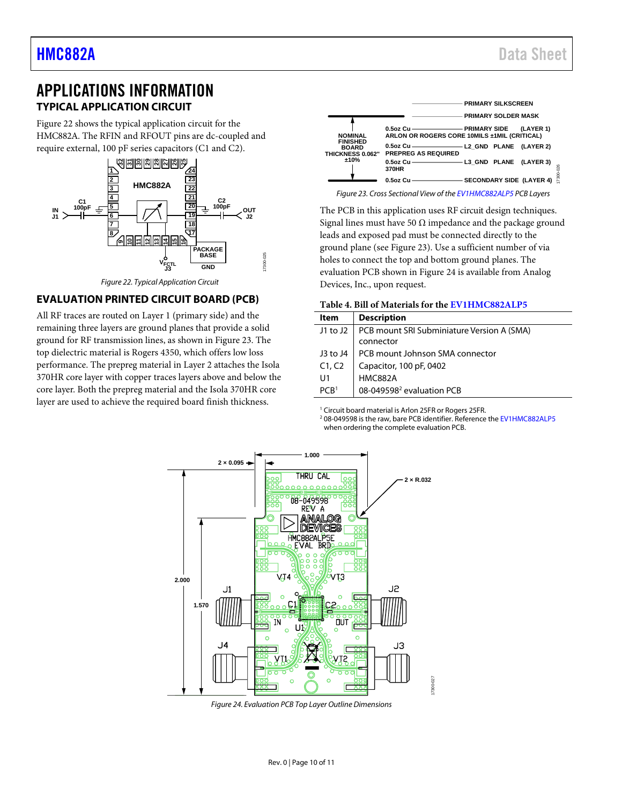## <span id="page-9-0"></span>APPLICATIONS INFORMATION **TYPICAL APPLICATION CIRCUIT**

<span id="page-9-1"></span>[Figure 22](#page-9-3) shows the typical application circuit for the HMC882A. The RFIN and RFOUT pins are dc-coupled and require external, 100 pF series capacitors (C1 and C2).



*Figure 22. Typical Application Circuit*

### <span id="page-9-3"></span><span id="page-9-2"></span>**EVALUATION PRINTED CIRCUIT BOARD (PCB)**

All RF traces are routed on Layer 1 (primary side) and the remaining three layers are ground planes that provide a solid ground for RF transmission lines, as shown in [Figure 23.](#page-9-4) The top dielectric material is Rogers 4350, which offers low loss performance. The prepreg material in Layer 2 attaches the Isola 370HR core layer with copper traces layers above and below the core layer. Both the prepreg material and the Isola 370HR core layer are used to achieve the required board finish thickness.



<span id="page-9-4"></span>*Figure 23. Cross Sectional View of th[e EV1HMC882ALP5](https://www.analog.com/HMC882A?doc=HMC882A.pdf) PCB Layers*

The PCB in this application uses RF circuit design techniques. Signal lines must have 50  $\Omega$  impedance and the package ground leads and exposed pad must be connected directly to the ground plane (see [Figure 23\)](#page-9-4). Use a sufficient number of via holes to connect the top and bottom ground planes. The evaluation PCB shown in [Figure 24](#page-9-5) is available from Analog Devices, Inc., upon request.

| Table 4. Bill of Materials for the EV1HMC882ALP5 |  |
|--------------------------------------------------|--|
|--------------------------------------------------|--|

| Item                 | <b>Description</b>                                      |
|----------------------|---------------------------------------------------------|
| J1 to J2 $\parallel$ | PCB mount SRI Subminiature Version A (SMA)<br>connector |
|                      |                                                         |
| J3 to $J4$           | PCB mount Johnson SMA connector                         |
| C1, C2               | Capacitor, 100 pF, 0402                                 |
| U1                   | <b>HMC882A</b>                                          |
| PCR <sup>1</sup>     | 08-049598 <sup>2</sup> evaluation PCB                   |

<sup>1</sup> Circuit board material is Arlon 25FR or Rogers 25FR.

<sup>2</sup> 08-049598 is the raw, bare PCB identifier. Reference the [EV1HMC882ALP5](https://www.analog.com/HMC882A?doc=HMC882A.pdf) when ordering the complete evaluation PCB.



17300-025

<span id="page-9-5"></span>*Figure 24. Evaluation PCB Top Layer Outline Dimensions*